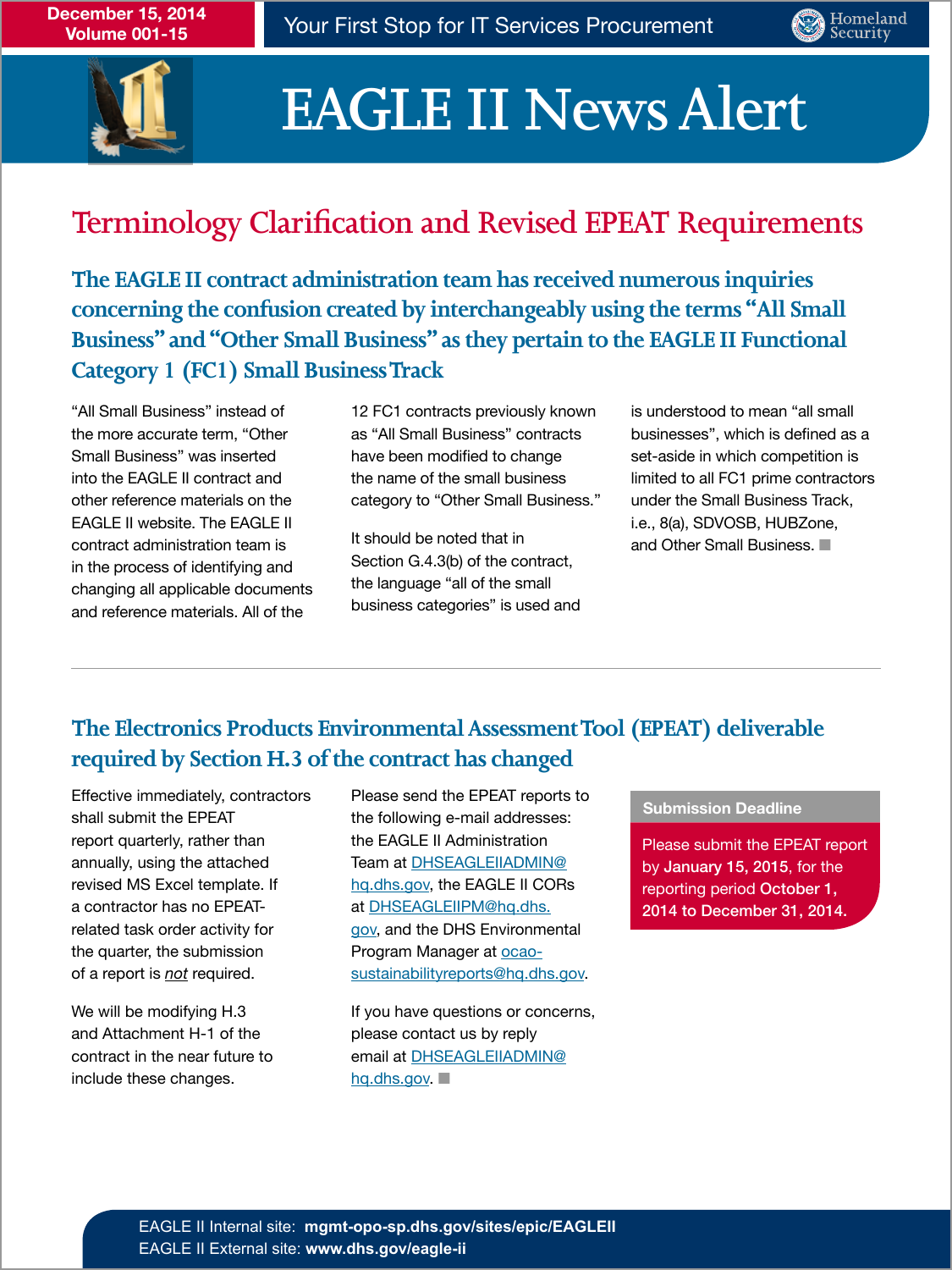



# **EAGLE II News Alert**

## **Terminology Clarification and Revised EPEAT Requirements**

**The EAGLE II contract administration team has received numerous inquiries concerning the confusion created by interchangeably using the terms "All Small Business" and "Other Small Business" as they pertain to the EAGLE II Functional Category 1 (FC1) Small Business Track**

EAGLE II website. The EAGLE II<br>
and the individual to the study of the study of the Small Business of the study of the Small Business of the study of the Small Business of the study of the Small Business of the study of th Contract administration team is the noted that in contract administration team is and Other Small Business. ■<br>in the process of identifying and Section G.4.3(b) of the contract, in the process of identifying and<br>changing all applicable documents the language "all of the small" changing all applicable documents and the language "all of the small"<br>changing all applicable 0.1 of the space business categories" is used and and reference materials. All of the

"All Small Business" instead of 12 FC1 contracts previously known is understood to mean "all small the more accurate term, "Other as "All Small Business" contracts businesses", which is defined as a Small Business" was inserted have been modified to change set-aside in which competition is into the EAGLE II contract and the name of the small business limited to all FC1 prime contractors other reference materials on the category to "Other Small Business." under the Small Business Track,

### **The Electronics Products Environmental Assessment Tool (EPEAT) deliverable required by Section H.3 of the contract has changed**

Effective immediately, contractors shall submit the EPEAT report quarterly, rather than annually, using the attached revised MS Excel template. If a contractor has no EPEATrelated task order activity for the quarter, the submission of a report is *not* required.

We will be modifying H.3 and Attachment H-1 of the contract in the near future to include these changes.

Please send the EPEAT reports to the following e-mail addresses: the EAGLE II Administration Team at DHSEAGLEIIADMIN@ hq.dhs.gov, the EAGLE II CORs at DHSEAGLEIIPM@hq.dhs. gov, and the DHS Environmental Program Manager at ocaosustainabilityreports@hq.dhs.gov.

If you have questions or concerns, please contact us by reply email at DHSEAGLEIIADMIN@ hq.dhs.gov. ■

#### **Submission Deadline**

Please submit the EPEAT report by January 15, 2015, for the reporting period October 1, 2014 to December 31, 2014.